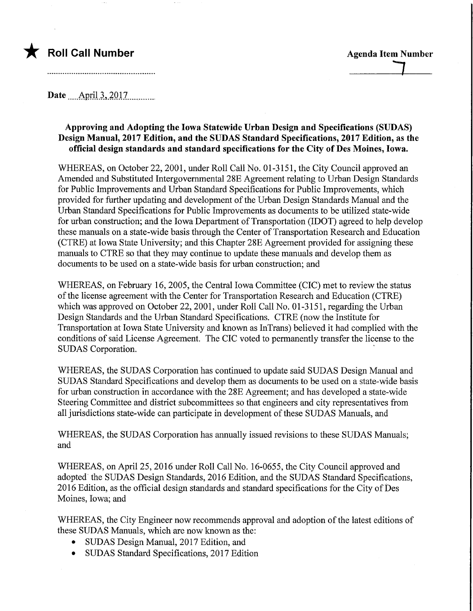## **Roll Call Number Agents Agents Agents Agents Agents Agents Agents Agents Agents Agents Agents Agents Agents Agents Agents Agents Agents Agents Agents Agents Agents Agents Agents Agents Agents Agents Agents Agents Agents A**

Date .....April 3.,.2Q17.

## Approving and Adopting the Iowa Statewide Urban Design and Specifications (SUDAS) Design Manual, 2017 Edition, and the SUDAS Standard Specifications, 2017 Edition, as the official design standards and standard specifications for the City of Des Moines, Iowa.

WHEREAS, on October 22, 2001, under Roll Call No. 01-3151, the City Council approved an Amended and Substituted Intergovernmental 28E Agreement relating to Urban Design Standards for Public Improvements and Urban Standard Specifications for Public Improvements, which provided for further updating and development of the Urban Design Standards Manual and the Urban Standard Specifications for Public Improvements as documents to be utilized state-wide for urban construction; and the Iowa Department of Transportation (IDOT) agreed to help develop these manuals on a state-wide basis through the Center of Transportation Research and Education (CTRE) at Iowa State University; and this Chapter 28E Agreement provided for assigning these manuals to CTRE so that they may continue to update these manuals and develop them as documents to be used on a state-wide basis for urban construction; and

WHEREAS, on February 16, 2005, the Central Iowa Committee (CIC) met to review the status of the license agreement with the Center for Transportation Research and Education (CTRE) which was approved on October 22, 2001, under Roll Call No. 01-3151, regarding the Urban Design Standards and the Urban Standard Specifications. CTRE (now the Institute for Transportation at Iowa State University and known as InTrans) believed it had complied with the conditions of said License Agreement. The CIC voted to permanently transfer the license to the SUDAS Corporation.

WHEREAS, the SUDAS Corporation has continued to update said SUDAS Design Manual and SUDAS Standard Specifications and develop them as documents to be used on a state-wide basis for urban construction in accordance with the 28E Agreement; and has developed a state-wide Steering Committee and district subcommittees so that engineers and city representatives from all jurisdictions state-wide can participate in development of these SUDAS Manuals, and

WHEREAS, the SUDAS Corporation has annually issued revisions to these SUDAS Manuals; and

WHEREAS, on April 25, 2016 under Roll Call No. 16-0655, the City Council approved and adopted the SUDAS Design Standards, 2016 Edition, and the SUDAS Standard Specifications, 2016 Edition, as the official design standards and standard specifications for the City of Des Moines, Iowa; and

WHEREAS, the City Engineer now recommends approval and adoption of the latest editions of these SUDAS Manuals, which are now known as the:

- SUDAS Design Manual, 2017 Edition, and
- SUDAS Standard Specifications, 2017 Edition